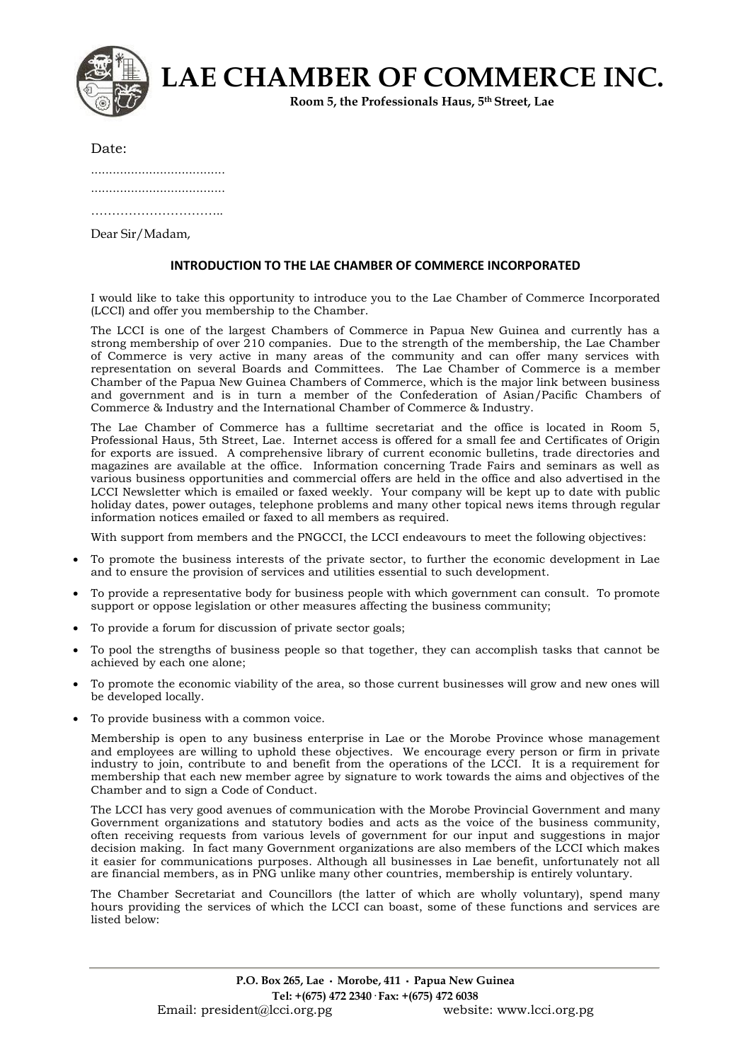| LAE CHAMBER OF COMMERCE INC.<br>Room 5, the Professionals Haus, 5th Street, Lae |  |
|---------------------------------------------------------------------------------|--|
|---------------------------------------------------------------------------------|--|

..................................... ..................................... ……………………………………

Dear Sir/Madam,

#### **INTRODUCTION TO THE LAE CHAMBER OF COMMERCE INCORPORATED**

I would like to take this opportunity to introduce you to the Lae Chamber of Commerce Incorporated (LCCI) and offer you membership to the Chamber.

The LCCI is one of the largest Chambers of Commerce in Papua New Guinea and currently has a strong membership of over 210 companies. Due to the strength of the membership, the Lae Chamber of Commerce is very active in many areas of the community and can offer many services with representation on several Boards and Committees. The Lae Chamber of Commerce is a member Chamber of the Papua New Guinea Chambers of Commerce, which is the major link between business and government and is in turn a member of the Confederation of Asian/Pacific Chambers of Commerce & Industry and the International Chamber of Commerce & Industry.

The Lae Chamber of Commerce has a fulltime secretariat and the office is located in Room 5, Professional Haus, 5th Street, Lae. Internet access is offered for a small fee and Certificates of Origin for exports are issued. A comprehensive library of current economic bulletins, trade directories and magazines are available at the office. Information concerning Trade Fairs and seminars as well as various business opportunities and commercial offers are held in the office and also advertised in the LCCI Newsletter which is emailed or faxed weekly. Your company will be kept up to date with public holiday dates, power outages, telephone problems and many other topical news items through regular information notices emailed or faxed to all members as required.

With support from members and the PNGCCI, the LCCI endeavours to meet the following objectives:

- To promote the business interests of the private sector, to further the economic development in Lae and to ensure the provision of services and utilities essential to such development.
- To provide a representative body for business people with which government can consult. To promote support or oppose legislation or other measures affecting the business community;
- To provide a forum for discussion of private sector goals;
- To pool the strengths of business people so that together, they can accomplish tasks that cannot be achieved by each one alone;
- To promote the economic viability of the area, so those current businesses will grow and new ones will be developed locally.
- To provide business with a common voice.

Membership is open to any business enterprise in Lae or the Morobe Province whose management and employees are willing to uphold these objectives. We encourage every person or firm in private industry to join, contribute to and benefit from the operations of the LCCI. It is a requirement for membership that each new member agree by signature to work towards the aims and objectives of the Chamber and to sign a Code of Conduct.

The LCCI has very good avenues of communication with the Morobe Provincial Government and many Government organizations and statutory bodies and acts as the voice of the business community, often receiving requests from various levels of government for our input and suggestions in major decision making. In fact many Government organizations are also members of the LCCI which makes it easier for communications purposes. Although all businesses in Lae benefit, unfortunately not all are financial members, as in PNG unlike many other countries, membership is entirely voluntary.

The Chamber Secretariat and Councillors (the latter of which are wholly voluntary), spend many hours providing the services of which the LCCI can boast, some of these functions and services are listed below: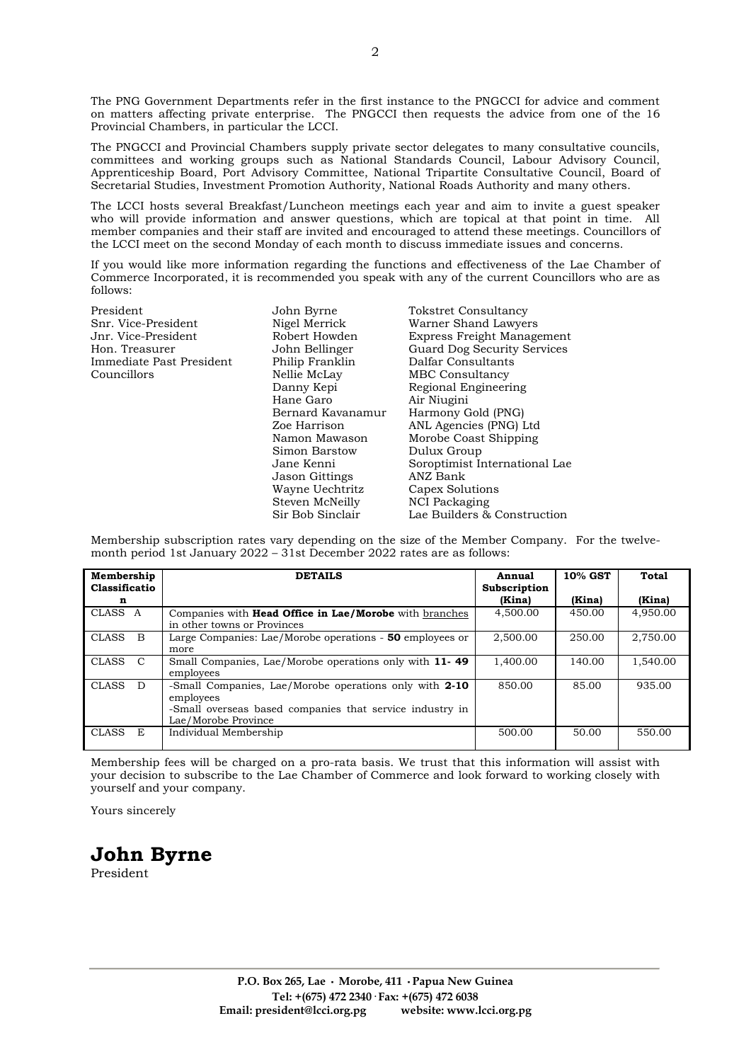The PNG Government Departments refer in the first instance to the PNGCCI for advice and comment on matters affecting private enterprise. The PNGCCI then requests the advice from one of the 16 Provincial Chambers, in particular the LCCI.

The PNGCCI and Provincial Chambers supply private sector delegates to many consultative councils, committees and working groups such as National Standards Council, Labour Advisory Council, Apprenticeship Board, Port Advisory Committee, National Tripartite Consultative Council, Board of Secretarial Studies, Investment Promotion Authority, National Roads Authority and many others.

The LCCI hosts several Breakfast/Luncheon meetings each year and aim to invite a guest speaker who will provide information and answer questions, which are topical at that point in time. All member companies and their staff are invited and encouraged to attend these meetings. Councillors of the LCCI meet on the second Monday of each month to discuss immediate issues and concerns.

If you would like more information regarding the functions and effectiveness of the Lae Chamber of Commerce Incorporated, it is recommended you speak with any of the current Councillors who are as follows:

President John Byrne Tokstret Consultancy<br>
Snr. Vice-President Nigel Merrick Warner Shand Lawye Immediate Past President Philip Franklin Dalfar Consultants Councillors Nellie McLay MBC Consultancy

Hane Garo Air Niugini Jason Gittings ANZ Bank Wayne Uechtritz Capex Solution<br>Steven McNeilly NCI Packaging Steven McNeilly

Warner Shand Lawyers Jnr. Vice-President Robert Howden Express Freight Management Hon. Treasurer John Bellinger Guard Dog Security Services Danny Kepi Regional Engineering Bernard Kavanamur Harmony Gold (PNG) ANL Agencies (PNG) Ltd Namon Mawason Morobe Coast Shipping Dulux Group Jane Kenni Soroptimist International Lae Sir Bob Sinclair Lae Builders & Construction

Membership subscription rates vary depending on the size of the Member Company. For the twelvemonth period 1st January 2022 – 31st December 2022 rates are as follows:

| Membership<br>Classificatio | <b>DETAILS</b>                                                                                                                                         | Annual<br>Subscription | 10% GST | <b>Total</b> |
|-----------------------------|--------------------------------------------------------------------------------------------------------------------------------------------------------|------------------------|---------|--------------|
| n                           |                                                                                                                                                        | (Kina)                 | (Kina)  | (Kina)       |
| CLASS A                     | Companies with <b>Head Office in Lae/Morobe</b> with branches<br>in other towns or Provinces                                                           | 4,500.00               | 450.00  | 4,950.00     |
| CLASS B                     | Large Companies: Lae/Morobe operations - 50 employees or<br>more                                                                                       | 2.500.00               | 250.00  | 2,750.00     |
| CLASS C                     | Small Companies, Lae/Morobe operations only with 11-49<br>employees                                                                                    | 1,400.00               | 140.00  | 1,540.00     |
| <b>CLASS</b><br>- D         | -Small Companies, Lae/Morobe operations only with 2-10<br>employees<br>-Small overseas based companies that service industry in<br>Lae/Morobe Province | 850.00                 | 85.00   | 935.00       |
| <b>CLASS</b><br>E           | Individual Membership                                                                                                                                  | 500.00                 | 50.00   | 550.00       |

Membership fees will be charged on a pro-rata basis. We trust that this information will assist with your decision to subscribe to the Lae Chamber of Commerce and look forward to working closely with yourself and your company.

Yours sincerely

# **John Byrne**

President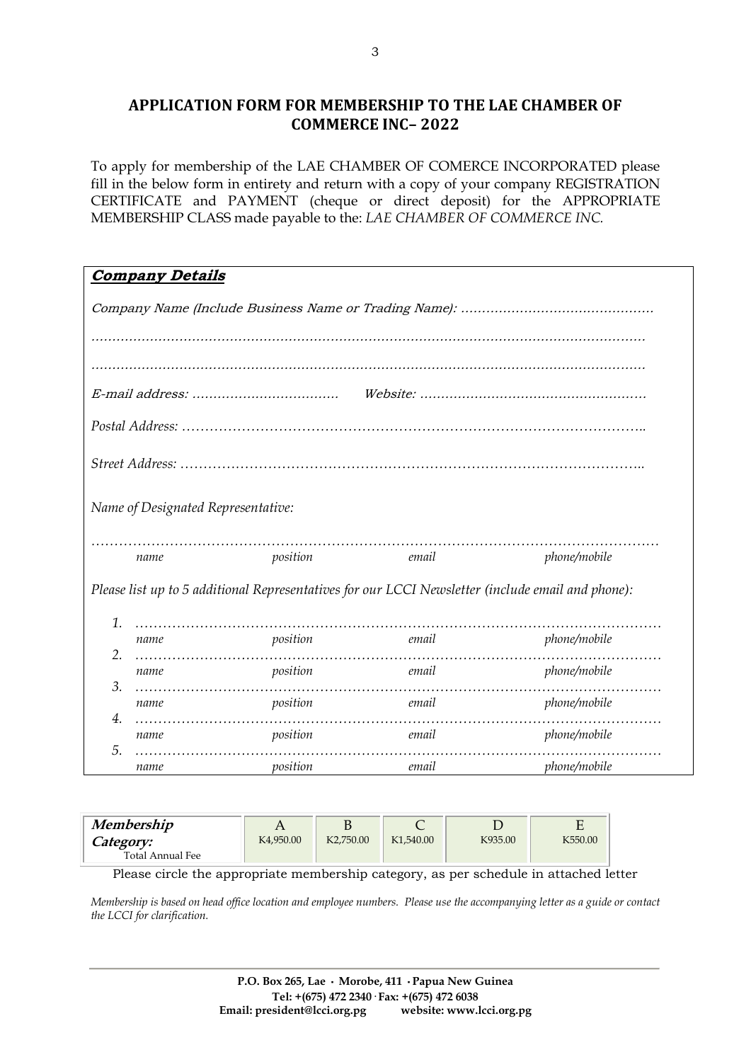## **APPLICATION FORM FOR MEMBERSHIP TO THE LAE CHAMBER OF COMMERCE INC– 2022**

To apply for membership of the LAE CHAMBER OF COMERCE INCORPORATED please fill in the below form in entirety and return with a copy of your company REGISTRATION CERTIFICATE and PAYMENT (cheque or direct deposit) for the APPROPRIATE MEMBERSHIP CLASS made payable to the: *LAE CHAMBER OF COMMERCE INC.*

| <b>Company Details</b>                                                                            |                                    |                   |       |              |  |
|---------------------------------------------------------------------------------------------------|------------------------------------|-------------------|-------|--------------|--|
|                                                                                                   |                                    |                   |       |              |  |
|                                                                                                   |                                    |                   |       |              |  |
|                                                                                                   |                                    |                   |       |              |  |
|                                                                                                   |                                    |                   |       |              |  |
|                                                                                                   |                                    |                   |       |              |  |
|                                                                                                   |                                    |                   |       |              |  |
|                                                                                                   |                                    |                   |       |              |  |
|                                                                                                   |                                    |                   |       |              |  |
|                                                                                                   | Name of Designated Representative: |                   |       |              |  |
|                                                                                                   |                                    |                   |       |              |  |
|                                                                                                   | name                               | position          | email | phone/mobile |  |
| Please list up to 5 additional Representatives for our LCCI Newsletter (include email and phone): |                                    |                   |       |              |  |
| 1.                                                                                                |                                    |                   |       |              |  |
| 2.                                                                                                | name                               | position          | email | phone/mobile |  |
|                                                                                                   | name                               | position          | email | phone/mobile |  |
| 3.                                                                                                | name                               | position<br>email |       | phone/mobile |  |
| 4.                                                                                                |                                    |                   |       |              |  |
| 5.                                                                                                | name                               | position          | email | phone/mobile |  |
|                                                                                                   | name                               | position          | email | phone/mobile |  |

| Membership       |                        |                        |                        |         |         |
|------------------|------------------------|------------------------|------------------------|---------|---------|
| <i>Category:</i> | K <sub>4</sub> ,950.00 | K <sub>2</sub> .750.00 | K <sub>1</sub> ,540,00 | K935.00 | K550.00 |
| Total Annual Fee |                        |                        |                        |         |         |

Please circle the appropriate membership category, as per schedule in attached letter

*Membership is based on head office location and employee numbers. Please use the accompanying letter as a guide or contact the LCCI for clarification.*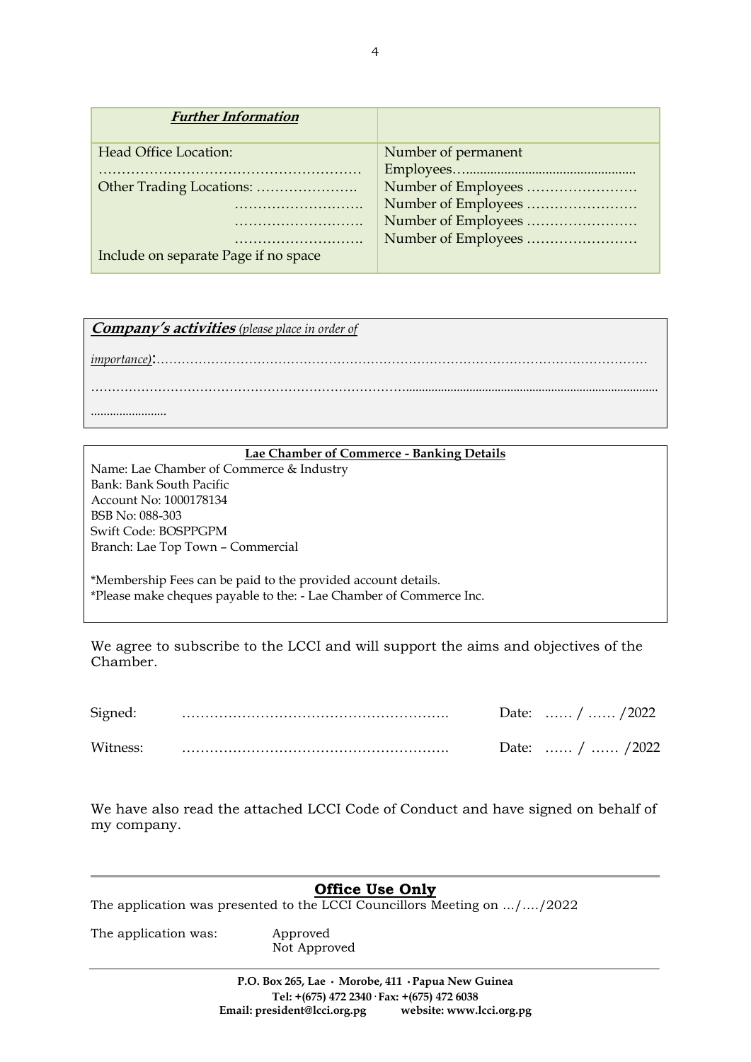| <b>Further Information</b>           |                     |
|--------------------------------------|---------------------|
| Head Office Location:                | Number of permanent |
|                                      |                     |
|                                      | Number of Employees |
|                                      | Number of Employees |
|                                      | Number of Employees |
|                                      | Number of Employees |
| Include on separate Page if no space |                     |

**Company's activities** *(please place in order of* 

*importance)*:………………………………………………………………………………………………………

........................

#### **Lae Chamber of Commerce - Banking Details**

…………………………………………………………………................................................................................

Name: Lae Chamber of Commerce & Industry Bank: Bank South Pacific Account No: 1000178134 BSB No: 088-303 Swift Code: BOSPPGPM Branch: Lae Top Town – Commercial

\*Membership Fees can be paid to the provided account details. \*Please make cheques payable to the: - Lae Chamber of Commerce Inc.

We agree to subscribe to the LCCI and will support the aims and objectives of the Chamber.

| Signed:  |  | Date:  /  / 2022 |
|----------|--|------------------|
| Witness: |  | Date:  /  / 2022 |

We have also read the attached LCCI Code of Conduct and have signed on behalf of my company.

### **Office Use Only**

The application was presented to the LCCI Councillors Meeting on .../…./2022

The application was: Approved Not Approved